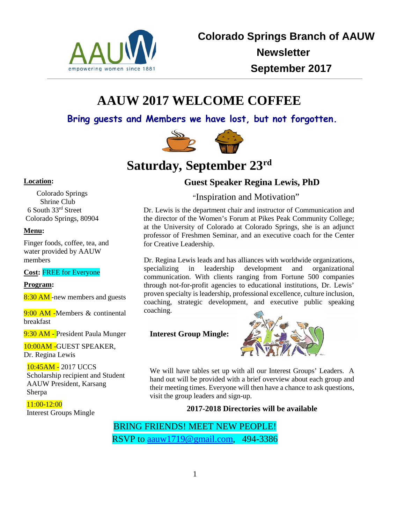

# **AAUW 2017 WELCOME COFFEE**

**Bring guests and Members we have lost, but not forgotten.**



# **Satur[day, S](https://www.flickr.com/photos/cwkarl/15659703711)eptember 23rd**

#### **Location:**

 Colorado Springs Shrine Club 6 South 33rd Street Colorado Springs, 80904

#### **Menu:**

Finger foods, coffee, tea, and water provided by AAUW members

**Cost:** FREE for Everyone

#### **Program:**

8:30 AM -new members and guests

9:00 AM -Members & continental breakfast

9:30 AM - President Paula Munger

10:00AM -GUEST SPEAKER, Dr. Regina Lewis

10:45AM - 2017 UCCS Scholarship recipient and Student AAUW President, Karsang Sherpa

11:00-12:00 Interest Groups Mingle

# **Guest Speaker Regina Lewis, PhD**

["](https://creativecommons.org/licenses/by-nd/2.0/)Inspiration and Motivation"

Dr. Lewis is the department chair and instructor of Communication and the director of the Women's Forum at Pikes Peak Community College; at the University of Colorado at Colorado Springs, she is an adjunct professor of Freshmen Seminar, and an executive coach for the Center for Creative Leadership.

Dr. Regina Lewis leads and has alliances with worldwide organizations, specializing in leadership development and organizational communication. With clients ranging from Fortune 500 companies through not-for-profit agencies to educational institutions, Dr. Lewis' proven specialty is leadership, professional excellence, culture inclusion, coaching, strategic development, and executive public speaking coaching.

**Interest Group Mingle:**



We will have tables set up with all our Interest Groups' Leaders. A hand out will be provided with a brief overview about each group and their meeting times. Everyone will then have a chance to ask questions, visit the group leaders and sign-up.

### **2017-2018 Directories will be available**

BRING FRIENDS! MEET NEW PEOPLE! RSVP to [aauw1719@gmail.com,](mailto:aauw1719@gmail.com) 494-3386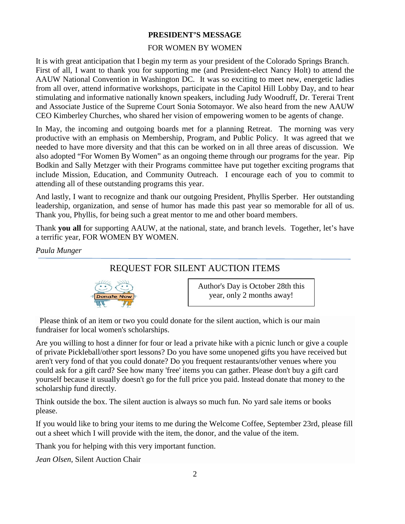### **PRESIDENT'S MESSAGE**

### FOR WOMEN BY WOMEN

It is with great anticipation that I begin my term as your president of the Colorado Springs Branch. First of all, I want to thank you for supporting me (and President-elect Nancy Holt) to attend the AAUW National Convention in Washington DC. It was so exciting to meet new, energetic ladies from all over, attend informative workshops, participate in the Capitol Hill Lobby Day, and to hear stimulating and informative nationally known speakers, including Judy Woodruff, Dr. Tererai Trent and Associate Justice of the Supreme Court Sonia Sotomayor. We also heard from the new AAUW CEO Kimberley Churches, who shared her vision of empowering women to be agents of change.

In May, the incoming and outgoing boards met for a planning Retreat. The morning was very productive with an emphasis on Membership, Program, and Public Policy. It was agreed that we needed to have more diversity and that this can be worked on in all three areas of discussion. We also adopted "For Women By Women" as an ongoing theme through our programs for the year. Pip Bodkin and Sally Metzger with their Programs committee have put together exciting programs that include Mission, Education, and Community Outreach. I encourage each of you to commit to attending all of these outstanding programs this year.

And lastly, I want to recognize and thank our outgoing President, Phyllis Sperber. Her outstanding leadership, organization, and sense of humor has made this past year so memorable for all of us. Thank you, Phyllis, for being such a great mentor to me and other board members.

Thank **you all** for supporting AAUW, at the national, state, and branch levels. Together, let's have a terrific year, FOR WOMEN BY WOMEN.

*Paula Munger*

## REQUEST FOR SILENT AUCTION ITEMS



Author's Day is October 28th this year, only 2 months away!

 Please think of [an item or t](http://handmadebybheng.blogspot.com/2013_06_01_archive.html)wo you could donate for the silent auction, which is our main fundraiser for local women's scholarships.

Are you willing t[o host a di](https://creativecommons.org/licenses/by-nd/3.0/)nner for four or lead a private hike with a picnic lunch or give a couple of private Pickleball/other sport lessons? Do you have some unopened gifts you have received but aren't very fond of that you could donate? Do you frequent restaurants/other venues where you could ask for a gift card? See how many 'free' items you can gather. Please don't buy a gift card yourself because it usually doesn't go for the full price you paid. Instead donate that money to the scholarship fund directly.

Think outside the box. The silent auction is always so much fun. No yard sale items or books please.

If you would like to bring your items to me during the Welcome Coffee, September 23rd, please fill out a sheet which I will provide with the item, the donor, and the value of the item.

Thank you for helping with this very important function.

*Jean Olsen,* Silent Auction Chair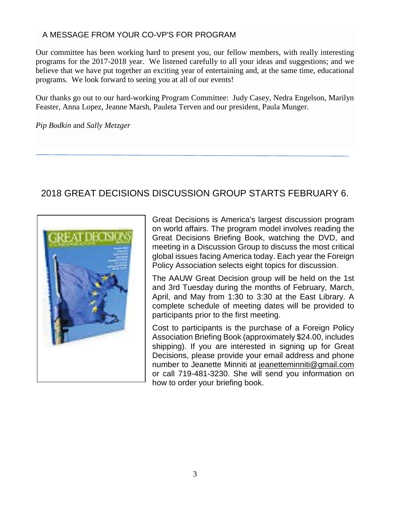### A MESSAGE FROM YOUR CO-VP'S FOR PROGRAM

Our committee has been working hard to present you, our fellow members, with really interesting programs for the 2017-2018 year. We listened carefully to all your ideas and suggestions; and we believe that we have put together an exciting year of entertaining and, at the same time, educational programs. We look forward to seeing you at all of our events!

Our thanks go out to our hard-working Program Committee: Judy Casey, Nedra Engelson, Marilyn Feaster, Anna Lopez, Jeanne Marsh, Pauleta Terven and our president, Paula Munger.

*Pip Bodkin* and *Sally Metzger*

# 2018 GREAT DECISIONS DISCUSSION GROUP STARTS FEBRUARY 6.



Great Decisions is America's largest discussion program on world affairs. The program model involves reading the Great Decisions Briefing Book, watching the DVD, and meeting in a Discussion Group to discuss the most critical global issues facing America today. Each year the Foreign Policy Association selects eight topics for discussion.

The AAUW Great Decision group will be held on the 1st and 3rd Tuesday during the months of February, March, April, and May from 1:30 to 3:30 at the East Library. A complete schedule of meeting dates will be provided to participants prior to the first meeting.

Cost to participants is the purchase of a Foreign Policy Association Briefing Book (approximately \$24.00, includes shipping). If you are interested in signing up for Great Decisions, please provide your email address and phone number to Jeanette Minniti at jeanetteminniti@gmail.com or call 719-481-3230. She will send you information on how to order your briefing book.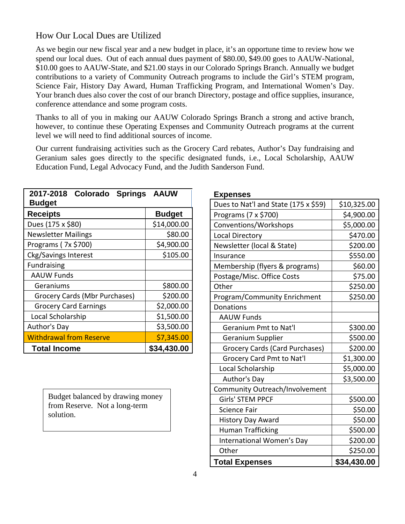## How Our Local Dues are Utilized

As we begin our new fiscal year and a new budget in place, it's an opportune time to review how we spend our local dues. Out of each annual dues payment of \$80.00, \$49.00 goes to AAUW-National, \$10.00 goes to AAUW-State, and \$21.00 stays in our Colorado Springs Branch. Annually we budget contributions to a variety of Community Outreach programs to include the Girl's STEM program, Science Fair, History Day Award, Human Trafficking Program, and International Women's Day. Your branch dues also cover the cost of our branch Directory, postage and office supplies, insurance, conference attendance and some program costs.

Thanks to all of you in making our AAUW Colorado Springs Branch a strong and active branch, however, to continue these Operating Expenses and Community Outreach programs at the current level we will need to find additional sources of income.

Our current fundraising activities such as the Grocery Card rebates, Author's Day fundraising and Geranium sales goes directly to the specific designated funds, i.e., Local Scholarship, AAUW Education Fund, Legal Advocacy Fund, and the Judith Sanderson Fund.

| 2017-2018 Colorado Springs<br><b>Budget</b> | <b>AAUW</b>   |  |  |
|---------------------------------------------|---------------|--|--|
| <b>Receipts</b>                             | <b>Budget</b> |  |  |
| Dues (175 x \$80)                           | \$14,000.00   |  |  |
| <b>Newsletter Mailings</b>                  | \$80.00       |  |  |
| Programs (7x \$700)                         | \$4,900.00    |  |  |
| Ckg/Savings Interest                        | \$105.00      |  |  |
| <b>Fundraising</b>                          |               |  |  |
| <b>AAUW Funds</b>                           |               |  |  |
| Geraniums                                   | \$800.00      |  |  |
| Grocery Cards (Mbr Purchases)               | \$200.00      |  |  |
| <b>Grocery Card Earnings</b>                | \$2,000.00    |  |  |
| Local Scholarship                           | \$1,500.00    |  |  |
| Author's Day                                | \$3,500.00    |  |  |
| <b>Withdrawal from Reserve</b>              | \$7,345.00    |  |  |
| <b>Total Income</b>                         | \$34,430.00   |  |  |

**Expenses**

| Dues to Nat'l and State (175 x \$59)  | \$10,325.00 |
|---------------------------------------|-------------|
| Programs (7 x \$700)                  | \$4,900.00  |
| Conventions/Workshops                 | \$5,000.00  |
| Local Directory                       | \$470.00    |
| Newsletter (local & State)            | \$200.00    |
| Insurance                             | \$550.00    |
| Membership (flyers & programs)        | \$60.00     |
| Postage/Misc. Office Costs            | \$75.00     |
| Other                                 | \$250.00    |
| Program/Community Enrichment          | \$250.00    |
| Donations                             |             |
| <b>AAUW Funds</b>                     |             |
| <b>Geranium Pmt to Nat'l</b>          | \$300.00    |
| Geranium Supplier                     | \$500.00    |
| <b>Grocery Cards (Card Purchases)</b> | \$200.00    |
| <b>Grocery Card Pmt to Nat'l</b>      | \$1,300.00  |
| Local Scholarship                     | \$5,000.00  |
| Author's Day                          | \$3,500.00  |
| Community Outreach/Involvement        |             |
| Girls' STEM PPCF                      | \$500.00    |
| <b>Science Fair</b>                   | \$50.00     |
| <b>History Day Award</b>              | \$50.00     |
| <b>Human Trafficking</b>              | \$500.00    |
| International Women's Day             | \$200.00    |
| Other                                 | \$250.00    |
| <b>Total Expenses</b>                 | \$34,430.00 |

Budget balanced by drawing money from Reserve. Not a long-term solution.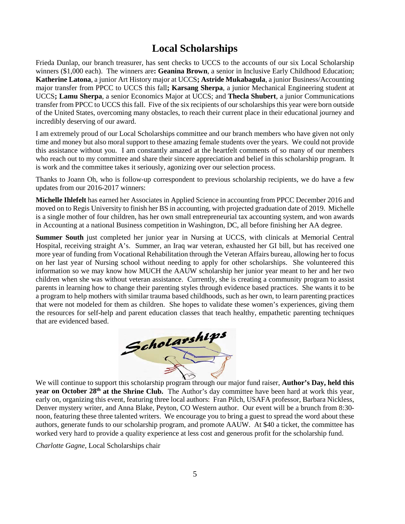# **Local Scholarships**

Frieda Dunlap, our branch treasurer, has sent checks to UCCS to the accounts of our six Local Scholarship winners (\$1,000 each). The winners are**: Geanina Brown**, a senior in Inclusive Early Childhood Education; **Katherine Latona**, a junior Art History major at UCCS**; Astride Mukabagula**, a junior Business/Accounting major transfer from PPCC to UCCS this fall**; Karsang Sherpa**, a junior Mechanical Engineering student at UCCS**; Lamu Sherpa**, a senior Economics Major at UCCS; and **Thecla Shubert**, a junior Communications transfer from PPCC to UCCS this fall. Five of the six recipients of our scholarships this year were born outside of the United States, overcoming many obstacles, to reach their current place in their educational journey and incredibly deserving of our award.

I am extremely proud of our Local Scholarships committee and our branch members who have given not only time and money but also moral support to these amazing female students over the years. We could not provide this assistance without you. I am constantly amazed at the heartfelt comments of so many of our members who reach out to my committee and share their sincere appreciation and belief in this scholarship program. It is work and the committee takes it seriously, agonizing over our selection process.

Thanks to Joann Oh, who is follow-up correspondent to previous scholarship recipients, we do have a few updates from our 2016-2017 winners:

**Michelle Ihlefelt** has earned her Associates in Applied Science in accounting from PPCC December 2016 and moved on to Regis University to finish her BS in accounting, with projected graduation date of 2019. Michelle is a single mother of four children, has her own small entrepreneurial tax accounting system, and won awards in Accounting at a national Business competition in Washington, DC, all before finishing her AA degree.

**Summer South** just completed her junior year in Nursing at UCCS, with clinicals at Memorial Central Hospital, receiving straight A's. Summer, an Iraq war veteran, exhausted her GI bill, but has received one more year of funding from Vocational Rehabilitation through the Veteran Affairs bureau, allowing her to focus on her last year of Nursing school without needing to apply for other scholarships. She volunteered this information so we may know how MUCH the AAUW scholarship her junior year meant to her and her two children when she was without veteran assistance. Currently, she is creating a community program to assist parents in learning how to change their parenting styles through evidence based practices. She wants it to be a program to help mothers with similar trauma based childhoods, such as her own, to learn parenting practices that were not modeled for them as children. She hopes to validate these women's experiences, giving them the resources for self-help and parent education classes that teach healthy, empathetic parenting techniques that are evidenced based.



**year on October 28<sup>th</sup> at the Shrine Club.** The Author's day committee have been hard at work this year, early on, organizing this event, featuring three local authors: Fran Pilch, USAFA professor, Barbara Nickless, Denver mystery writer, and Anna Blake, Peyton, CO Western author. Our event will be a brunch from 8:30 noon, featuring these three talented writers. We encourage you to bring a guest to spread the word about these authors, generate funds to our scholarship program, and promote AAUW. At \$40 a ticket, the committee has worked very hard to provide a quality experience at less cost and generous profit for the scholarship fund.

*Charlotte Gagne,* Local Scholarships chair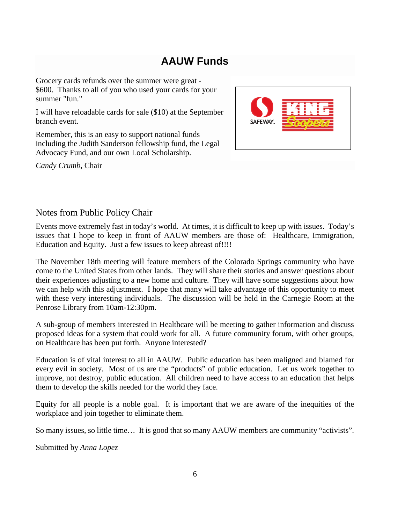# **AAUW Funds**

Grocery cards refunds over the summer were great - \$600. Thanks to all of you who used your cards for your summer "fun."

I will have reloadable cards for sale (\$10) at the September branch event.

Remember, this is an easy to support national funds including the Judith Sanderson fellowship fund, the Legal Advocacy Fund, and our own Local Scholarship.

*Candy Crumb*, Chair



### Notes from Public Policy Chair

Events move extremely fast in today's world. At times, it is difficult to keep up with issues. Today's issues that I hope to keep in front of AAUW members are those of: Healthcare, Immigration, Education and Equity. Just a few issues to keep abreast of!!!!

The November 18th meeting will feature members of the Colorado Springs community who have come to the United States from other lands. They will share their stories and answer questions about their experiences adjusting to a new home and culture. They will have some suggestions about how we can help with this adjustment. I hope that many will take advantage of this opportunity to meet with these very interesting individuals. The discussion will be held in the Carnegie Room at the Penrose Library from 10am-12:30pm.

A sub-group of members interested in Healthcare will be meeting to gather information and discuss proposed ideas for a system that could work for all. A future community forum, with other groups, on Healthcare has been put forth. Anyone interested?

Education is of vital interest to all in AAUW. Public education has been maligned and blamed for every evil in society. Most of us are the "products" of public education. Let us work together to improve, not destroy, public education. All children need to have access to an education that helps them to develop the skills needed for the world they face.

Equity for all people is a noble goal. It is important that we are aware of the inequities of the workplace and join together to eliminate them.

So many issues, so little time… It is good that so many AAUW members are community "activists".

Submitted by *Anna Lopez*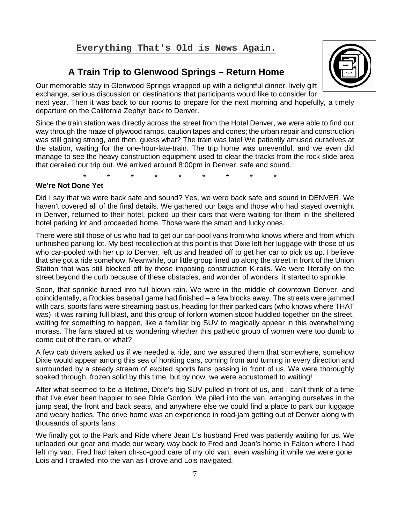#### **Everything That's Old is News Again.**

## **A Train Trip to Glenwood Springs – Return Home**



Our memorable stay in Glenwood Springs wrapped up with a delightful dinner, lively gift exchange, serious discussion on destinations that participants would like to consider for next year. Then it was back to our rooms to prepare for the next morning and hopefully, a timely departure on the California Zephyr back to Denver.

Since the train station was directly across the street from the Hotel Denver, we were able to find our way through the maze of plywood ramps, caution tapes and cones; the urban repair and construction was still going strong, and then, guess what? The train was late! We patiently amused ourselves at the station, waiting for the one-hour-late-train. The trip home was uneventful, and we even did manage to see the heavy construction equipment used to clear the tracks from the rock slide area that derailed our trip out. We arrived around 8:00pm in Denver, safe and sound.

\* \* \* \* \* \* \* \* \*

#### **We're Not Done Yet**

Did I say that we were back safe and sound? Yes, we were back safe and sound in DENVER. We haven't covered all of the final details. We gathered our bags and those who had stayed overnight in Denver, returned to their hotel, picked up their cars that were waiting for them in the sheltered hotel parking lot and proceeded home. Those were the smart and lucky ones.

There were still those of us who had to get our car-pool vans from who knows where and from which unfinished parking lot. My best recollection at this point is that Dixie left her luggage with those of us who car-pooled with her up to Denver, left us and headed off to get her car to pick us up. I believe that she got a ride somehow. Meanwhile, our little group lined up along the street in front of the Union Station that was still blocked off by those imposing construction K-rails. We were literally on the street beyond the curb because of these obstacles, and wonder of wonders, it started to sprinkle.

Soon, that sprinkle turned into full blown rain. We were in the middle of downtown Denver, and coincidentally, a Rockies baseball game had finished – a few blocks away. The streets were jammed with cars, sports fans were streaming past us, heading for their parked cars (who knows where THAT was), it was raining full blast, and this group of forlorn women stood huddled together on the street, waiting for something to happen, like a familiar big SUV to magically appear in this overwhelming morass. The fans stared at us wondering whether this pathetic group of women were too dumb to come out of the rain, or what?

A few cab drivers asked us if we needed a ride, and we assured them that somewhere, somehow Dixie would appear among this sea of honking cars, coming from and turning in every direction and surrounded by a steady stream of excited sports fans passing in front of us. We were thoroughly soaked through, frozen solid by this time, but by now, we were accustomed to waiting!

After what seemed to be a lifetime, Dixie's big SUV pulled in front of us, and I can't think of a time that I've ever been happier to see Dixie Gordon. We piled into the van, arranging ourselves in the jump seat, the front and back seats, and anywhere else we could find a place to park our luggage and weary bodies. The drive home was an experience in road-jam getting out of Denver along with thousands of sports fans.

We finally got to the Park and Ride where Jean L's husband Fred was patiently waiting for us. We unloaded our gear and made our weary way back to Fred and Jean's home in Falcon where I had left my van. Fred had taken oh-so-good care of my old van, even washing it while we were gone. Lois and I crawled into the van as I drove and Lois navigated.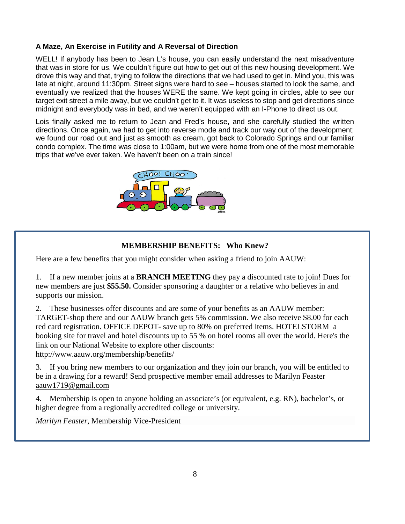### **A Maze, An Exercise in Futility and A Reversal of Direction**

WELL! If anybody has been to Jean L's house, you can easily understand the next misadventure that was in store for us. We couldn't figure out how to get out of this new housing development. We drove this way and that, trying to follow the directions that we had used to get in. Mind you, this was late at night, around 11:30pm. Street signs were hard to see – houses started to look the same, and eventually we realized that the houses WERE the same. We kept going in circles, able to see our target exit street a mile away, but we couldn't get to it. It was useless to stop and get directions since midnight and everybody was in bed, and we weren't equipped with an I-Phone to direct us out.

Lois finally asked me to return to Jean and Fred's house, and she carefully studied the written directions. Once again, we had to get into reverse mode and track our way out of the development; we found our road out and just as smooth as cream, got back to Colorado Springs and our familiar condo complex. The time was close to 1:00am, but we were home from one of the most memorable trips that we've ever taken. We haven't been on a train since!



### **MEMBERSHIP BENEFITS: Who Knew?**

Here are a few benefits that you might consider when asking a friend to join AAUW:

1. If a new member joins at a **BRANCH MEETING** they pay a discounted rate to join! Dues for new members are just **\$55.50.** Consider sponsoring a daughter or a relative who believes in and supports our mission.

2. These businesses offer discounts and are some of your benefits as an AAUW member: TARGET-shop there and our AAUW branch gets 5% commission. We also receive \$8.00 for each red card registration. OFFICE DEPOT- save up to 80% on preferred items. HOTELSTORM a booking site for travel and hotel discounts up to 55 % on hotel rooms all over the world. Here's the link on our National Website to explore other discounts:

<http://www.aauw.org/membership/benefits/>

3. If you bring new members to our organization and they join our branch, you will be entitled to be in a drawing for a reward! Send prospective member email addresses to Marilyn Feaster [aauw1719@gmail.com](mailto:aauw1719@gmail.com)

4. Membership is open to anyone holding an associate's (or equivalent, e.g. RN), bachelor's, or higher degree from a regionally accredited college or university.

*Marilyn Feaster,* Membership Vice-President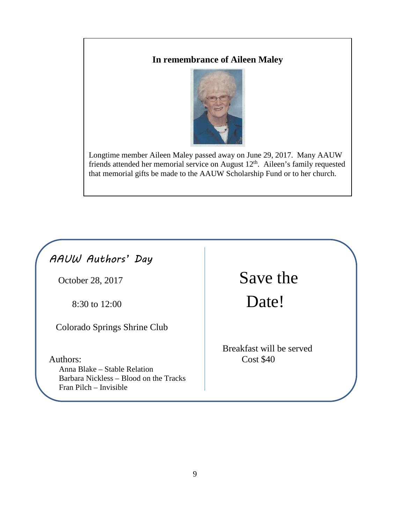# **In remembrance of Aileen Maley**



Longtime member Aileen Maley passed away on June 29, 2017. Many AAUW friends attended her memorial service on August 12<sup>th</sup>. Aileen's family requested that memorial gifts be made to the AAUW Scholarship Fund or to her church.

# *AAUW Authors' Day*

Colorado Springs Shrine Club

Authors: Cost \$40 Anna Blake – Stable Relation Barbara Nickless – Blood on the Tracks Fran Pilch – Invisible

October 28, 2017 Save the 8:30 to 12:00 Date!

Breakfast will be served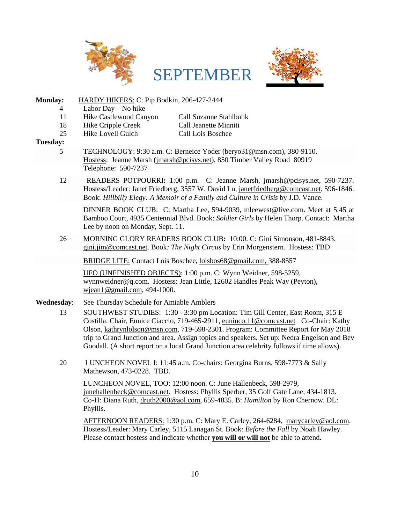



**Monday:** HARDY HIKERS: C: Pip Bodkin, 206-427-2444 4 Labor Day – No hike 11 [Hike Castlew](https://creativecommons.org/licenses/by-sa/3.0/)ood Canyon Call Suzanne Stahlbuhk 18 Hike Cripple Creek Call Jeanette Minniti 25 Hike Lovell Gulch Call Lois Boschee **Tuesday:** 5 TECHNOLOGY: 9:30 a.m. C: Berneice Yoder [\(beryo31@msn.com\)](javascript:window.top.ZmObjectManager.__doClickObject(document.getElementById(%22OBJ_PREFIX_DWT830_com_zimbra_email%22));), 380-9110. Hostess: Jeanne Marsh [\(jmarsh@pcisys.net\)](javascript:window.top.ZmObjectManager.__doClickObject(document.getElementById(%22OBJ_PREFIX_DWT831_com_zimbra_email%22));), 850 Timber Valley Road 80919 Telephone: 590-7237 12 READERS POTPOURRI**:** 1:00 p.m. C: Jeanne Marsh, [jmarsh@pcisys.net,](mailto:jmarsh@pcisys.net) 590-7237. Hostess/Leader: Janet Friedberg, 3557 W. David Ln, [janetfriedberg@comcast.net,](mailto:janetfriedberg@comcast.net) 596-1846. Book: *Hillbilly Elegy: A Memoir of a Family and Culture in Crisis* by J.D. Vance. DINNER BOOK CLUB: C: Martha Lee, 594-9039, [mleewest@live.com.](mailto:mleewest@live.com) Meet at 5:45 at Bamboo Court, 4935 Centennial Blvd. Book: *Soldier Girls* by Helen Thorp. Contact: Martha Lee by noon on Monday, Sept. 11. 26 MORNING GLORY READERS BOOK CLUB**:** 10:00. C: Gini Simonson, 481-8843, gini.jim@comcast.net. Book*: The Night Circus* by Erin Morgenstern. Hostess: TBD BRIDGE LITE: Contact Lois Boschee, [loisbos68@gmail.com,](javascript:window.top.ZmObjectManager.__doClickObject(document.getElementById(%22OBJ_PREFIX_DWT820_com_zimbra_email%22));) 388-8557 UFO (UNFINISHED OBJECTS): 1:00 p.m. C: Wynn Weidner, 598-5259, [wynnweidner@q.com.](mailto:wynnweidner@q.com) Hostess: Jean Little, 12602 Handles Peak Way (Peyton), [wjean1@gmail.com,](mailto:wjean1@gmail.com) 494-1000. **Wednesday**: See Thursday Schedule for Amiable Amblers 13 SOUTHWEST STUDIES: 1:30 - 3:30 pm Location: Tim Gill Center, East Room, 315 E Costilla. Chair, Eunice Ciaccio, 719-465-2911, [euninco.11@comcast.net](javascript:window.top.ZmObjectManager.__doClickObject(document.getElementById(%22OBJ_PREFIX_DWT1068_com_zimbra_email%22));) Co-Chair: Kathy Olson, [kathrynlolson@msn.com,](javascript:window.top.ZmObjectManager.__doClickObject(document.getElementById(%22OBJ_PREFIX_DWT1101_com_zimbra_email%22));) 719-598-2301. Program: Committee Report for May 2018 trip to Grand Junction and area. Assign topics and speakers. Set up: Nedra Engelson and Bev Goodall. (A short report on a local Grand Junction area celebrity follows if time allows). 20 LUNCHEON NOVEL I: 11:45 a.m. Co-chairs: Georgina Burns, 598-7773 & Sally Mathewson, 473-0228. TBD. LUNCHEON NOVEL, TOO: 12:00 noon. C: June Hallenbeck, 598-2979, [junehallenbeck@comcast.net.](mailto:junehallenbeck@comcast.net) Hostess: Phyllis Sperber, 35 Golf Gate Lane, 434-1813. Co-H: Diana Ruth, [druth2000@aol.com,](mailto:druth2000@aol.com) 659-4835. B: *Hamilton* by Ron Chernow. DL: Phyllis.

> AFTERNOON READERS: 1:30 p.m. C: Mary E. Carley, 264-6284, [marycarley@aol.com.](mailto:marycarley@aol.com) Hostess/Leader: Mary Carley, 5115 Lanagan St. Book: *Before the Fall* by Noah Hawley. Please contact hostess and indicate whether **you will or will not** be able to attend.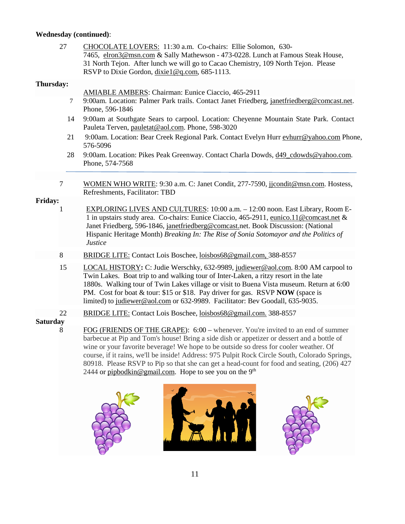### **Wednesday (continued)**:

|                 | 27 | CHOCOLATE LOVERS: 11:30 a.m. Co-chairs: Ellie Solomon, 630-<br>7465, elron3@msn.com & Sally Mathewson - 473-0228. Lunch at Famous Steak House,<br>31 North Tejon. After lunch we will go to Cacao Chemistry, 109 North Tejon. Please<br>RSVP to Dixie Gordon, dixiel@q.com, 685-1113.                                                                                                                                                   |
|-----------------|----|-----------------------------------------------------------------------------------------------------------------------------------------------------------------------------------------------------------------------------------------------------------------------------------------------------------------------------------------------------------------------------------------------------------------------------------------|
| Thursday:       |    | <b>AMIABLE AMBERS: Chairman: Eunice Ciaccio, 465-2911</b>                                                                                                                                                                                                                                                                                                                                                                               |
|                 | 7  | 9:00am. Location: Palmer Park trails. Contact Janet Friedberg, janetfriedberg@comcast.net.<br>Phone, 596-1846                                                                                                                                                                                                                                                                                                                           |
|                 | 14 | 9:00am at Southgate Sears to carpool. Location: Cheyenne Mountain State Park. Contact<br>Pauleta Terven, pauletat@aol.com. Phone, 598-3020                                                                                                                                                                                                                                                                                              |
|                 | 21 | 9:00am. Location: Bear Creek Regional Park. Contact Evelyn Hurr evhurr@yahoo.com Phone,<br>576-5096                                                                                                                                                                                                                                                                                                                                     |
|                 | 28 | 9:00am. Location: Pikes Peak Greenway. Contact Charla Dowds, d49 cdowds@yahoo.com.<br>Phone, 574-7568                                                                                                                                                                                                                                                                                                                                   |
|                 | 7  | WOMEN WHO WRITE: 9:30 a.m. C: Janet Condit, 277-7590, jjcondit@msn.com. Hostess,<br>Refreshments, Facilitator: TBD                                                                                                                                                                                                                                                                                                                      |
| Friday:         | 1  | EXPLORING LIVES AND CULTURES: 10:00 a.m. - 12:00 noon. East Library, Room E-<br>1 in upstairs study area. Co-chairs: Eunice Ciaccio, 465-2911, eunico.11@comcast.net &<br>Janet Friedberg, 596-1846, janetfriedberg@comcast.net. Book Discussion: (National<br>Hispanic Heritage Month) Breaking In: The Rise of Sonia Sotomayor and the Politics of<br><b>Justice</b>                                                                  |
|                 | 8  | BRIDGE LITE: Contact Lois Boschee, loisbos68@gmail.com, 388-8557                                                                                                                                                                                                                                                                                                                                                                        |
|                 | 15 | LOCAL HISTORY: C: Judie Werschky, 632-9989, judiewer@aol.com. 8:00 AM carpool to<br>Twin Lakes. Boat trip to and walking tour of Inter-Laken, a ritzy resort in the late<br>1880s. Walking tour of Twin Lakes village or visit to Buena Vista museum. Return at 6:00<br>PM. Cost for boat & tour: \$15 or \$18. Pay driver for gas. RSVP NOW (space is<br>limited) to judiewer@aol.com or 632-9989. Facilitator: Bev Goodall, 635-9035. |
|                 | 22 | BRIDGE LITE: Contact Lois Boschee, loisbos68@gmail.com. 388-8557                                                                                                                                                                                                                                                                                                                                                                        |
| <b>Saturday</b> | 8  | FOG (FRIENDS OF THE GRAPE): 6:00 – whenever. You're invited to an end of summer<br>barbecue at Pip and Tom's house! Bring a side dish or appetizer or dessert and a bottle of<br>wine or your favorite beverage! We hope to be outside so dress for cooler weather. Of                                                                                                                                                                  |

course, if it rains, we'll be inside! Address: 975 Pulpit Rock Circle South, Colorado Springs, 80918. Please RSVP to Pip so that she can get a head-count for food and seating, (206) 427 2444 or [pipbodkin@gmail.com.](javascript:window.top.ZmObjectManager.__doClickObject(document.getElementById(%22OBJ_PREFIX_DWT1051_com_zimbra_email%22));) Hope to see you on the  $9<sup>th</sup>$